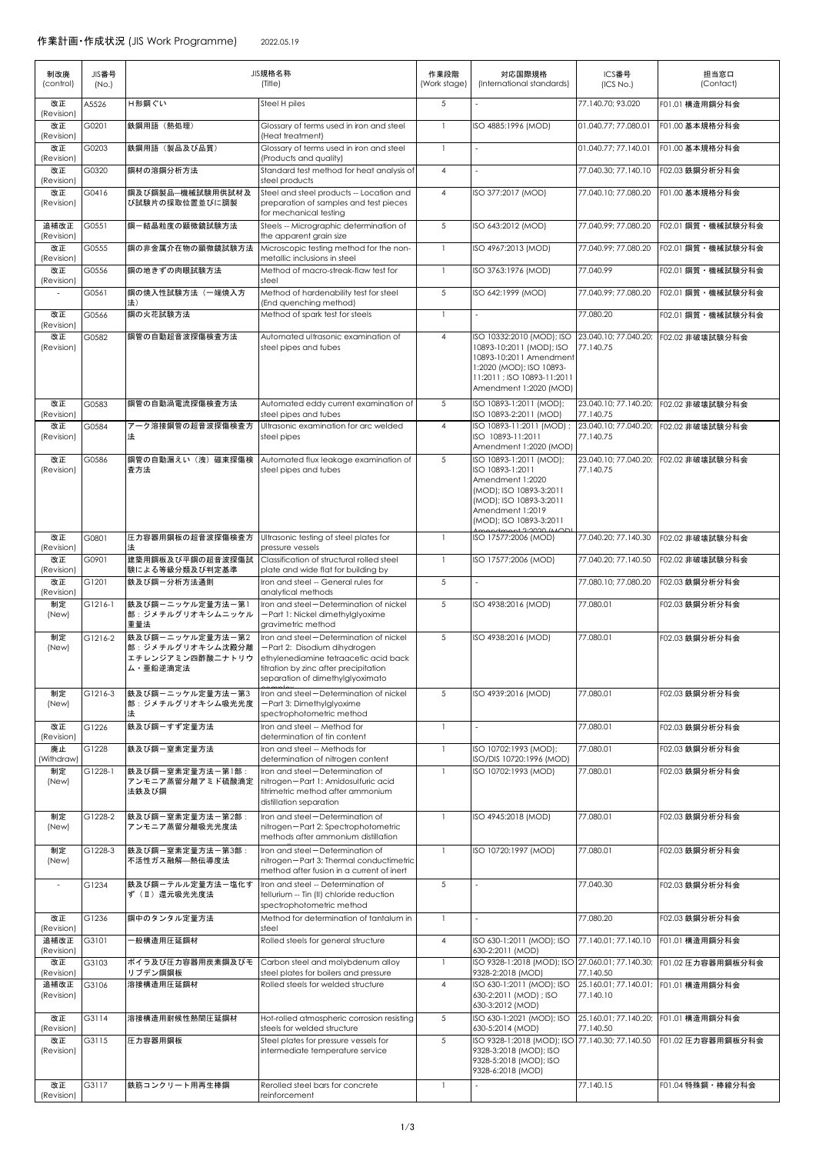| 制改廃<br>(control)   | JIS番号<br>(No.) |                                                                      | JIS規格名称<br>(Title)                                                                                                                                                                           | 作業段階<br>(Work stage) | 対応国際規格<br>(International standards)                                                                                                                                  | ICS番号<br>(ICS No.)                 | 担当窓口<br>(Contact)                    |
|--------------------|----------------|----------------------------------------------------------------------|----------------------------------------------------------------------------------------------------------------------------------------------------------------------------------------------|----------------------|----------------------------------------------------------------------------------------------------------------------------------------------------------------------|------------------------------------|--------------------------------------|
| 改正<br>(Revision)   | 45526          | H形鋼ぐい                                                                | Steel H piles                                                                                                                                                                                | 5                    |                                                                                                                                                                      | 77.140.70; 93.020                  | F01.01 構造用鋼分科会                       |
| 改正<br>(Revision)   | G0201          | 鉄鋼用語 (熱処理)                                                           | Glossary of terms used in iron and steel<br>(Heat treatment)                                                                                                                                 | $\mathbf{1}$         | ISO 4885:1996 (MOD)                                                                                                                                                  | 01.040.77: 77.080.01               | F01.00 基本規格分科会                       |
| 改正<br>(Revision)   | G0203          | 鉄鋼用語 (製品及び品質)                                                        | Glossary of terms used in iron and steel<br>(Products and quality)                                                                                                                           | $\mathbf{1}$         |                                                                                                                                                                      | 01.040.77; 77.140.01               | F01.00 基本規格分科会                       |
| 改正<br>(Revision)   | G0320          | 鋼材の溶鋼分析方法                                                            | Standard test method for heat analysis of<br>steel products                                                                                                                                  | $\overline{4}$       |                                                                                                                                                                      | 77.040.30; 77.140.10               | F02.03 鉄鋼分析分科会                       |
| 改正<br>(Revision)   | G0416          | 鋼及び鋼製品一機械試験用供試材及<br>び試験片の採取位置並びに調製                                   | Steel and steel products -- Location and<br>preparation of samples and test pieces<br>for mechanical testing                                                                                 | $\overline{4}$       | ISO 377:2017 (MOD)                                                                                                                                                   | 77.040.10; 77.080.20               | F01.00 基本規格分科会                       |
| 追補改正               | G0551          | 鋼ー結晶粒度の顕微鏡試験方法                                                       | Steels -- Micrographic determination of                                                                                                                                                      | 5                    | ISO 643:2012 (MOD)                                                                                                                                                   | 77.040.99: 77.080.20               | F02.01 鋼質 · 機械試験分科会                  |
| (Revision)<br>改正   | G0555          | 鋼の非金属介在物の顕微鏡試験方法                                                     | the apparent grain size<br>Microscopic testing method for the non-                                                                                                                           | $\mathbf{1}$         | ISO 4967:2013 (MOD)                                                                                                                                                  | 77.040.99; 77.080.20               | F02.01 鋼質 · 機械試験分科会                  |
| (Revision)<br>改正   | G0556          | 鋼の地きずの肉眼試験方法                                                         | metallic inclusions in steel<br>Method of macro-streak-flaw test for                                                                                                                         | 1                    | ISO 3763:1976 (MOD)                                                                                                                                                  | 77.040.99                          | F02.01 鋼質 · 機械試験分科会                  |
| (Revision)         | G0561          | 鋼の焼入性試験方法(一端焼入方                                                      | steel<br>Method of hardenability test for steel                                                                                                                                              | 5                    | ISO 642:1999 (MOD)                                                                                                                                                   | 77.040.99; 77.080.20               | F02.01 鋼質 · 機械試験分科会                  |
| 改正                 | G0566          | 法)<br>鋼の火花試験方法                                                       | (End quenching method)<br>Method of spark test for steels                                                                                                                                    |                      |                                                                                                                                                                      | 77.080.20                          | F02.01 鋼質 · 機械試験分科会                  |
| (Revision)<br>改正   | G0582          | 鋼管の自動超音波探傷検査方法                                                       | Automated ultrasonic examination of                                                                                                                                                          | $\overline{4}$       | ISO 10332:2010 (MOD); ISO                                                                                                                                            | 23.040.10; 77.040.20;              | F02.02 非破壊試験分科会                      |
| (Revision)         |                |                                                                      | steel pipes and tubes                                                                                                                                                                        |                      | 10893-10:2011 (MOD); ISO<br>10893-10:2011 Amendment<br>1:2020 (MOD); ISO 10893-<br>11:2011 ; ISO 10893-11:2011<br>Amendment 1:2020 (MOD)                             | 77.140.75                          |                                      |
| 改正<br>(Revision)   | G0583          | 鋼管の自動渦電流探傷検査方法                                                       | Automated eddy current examination of<br>steel pipes and tubes                                                                                                                               | 5                    | ISO 10893-1:2011 (MOD);<br>ISO 10893-2:2011 (MOD)                                                                                                                    | 23.040.10: 77.140.20:<br>77.140.75 | F02.02 非破壊試験分科会                      |
| 改正<br>(Revision)   | G0584          | アーク溶接鋼管の超音波探傷検査方<br>法                                                | Ultrasonic examination for arc welded<br>steel pipes                                                                                                                                         | 4                    | ISO 10893-11:2011 (MOD) ;<br>ISO 10893-11:2011<br>Amendment 1:2020 (MOD)                                                                                             | 23.040.10; 77.040.20;<br>77.140.75 | F02.02 非破壊試験分科会                      |
| 改正<br>(Revision)   | G0586          | 鋼管の自動漏えい (洩) 磁束探傷検<br>査方法                                            | Automated flux leakage examination of<br>steel pipes and tubes                                                                                                                               | 5                    | ISO 10893-1:2011 (MOD);<br>ISO 10893-1:2011<br>Amendment 1:2020<br>(MOD); ISO 10893-3:2011<br>(MOD); ISO 10893-3:2011<br>Amendment 1:2019<br>(MOD); ISO 10893-3:2011 | 23.040.10; 77.040.20;<br>77.140.75 | F02.02 非破壊試験分科会                      |
| 改正<br>(Revision)   | G0801          | 圧力容器用鋼板の超音波探傷検査方                                                     | Ultrasonic testing of steel plates for<br>pressure vessels                                                                                                                                   | 1                    | ISO 17577:2006 (MOD)                                                                                                                                                 | 77.040.20; 77.140.30               | F02.02 非破壊試験分科会                      |
| 改正<br>(Revision)   | G0901          | 建築用鋼板及び平鋼の超音波探傷試<br>験による等級分類及び判定基準                                   | Classification of structural rolled steel<br>plate and wide flat for building by                                                                                                             |                      | ISO 17577:2006 (MOD)                                                                                                                                                 | 77.040.20; 77.140.50               | F02.02 非破壊試験分科会                      |
| 改正<br>(Revision)   | G1201          | 鉄及び鋼ー分析方法通則                                                          | Iron and steel -- General rules for<br>analytical methods                                                                                                                                    | 5                    |                                                                                                                                                                      | 77.080.10; 77.080.20               | F02.03 鉄鋼分析分科会                       |
| 制定<br>(New)        | G1216-1        | 鉄及び鋼ーニッケル定量方法一第1<br>部:ジメチルグリオキシムニッケル<br>重量法                          | Iron and steel-Determination of nickel<br>-Part 1: Nickel dimethylglyoxime<br>gravimetric method                                                                                             | 5                    | ISO 4938:2016 (MOD)                                                                                                                                                  | 77.080.01                          | F02.03 鉄鋼分析分科会                       |
| 制定<br>(New)        | G1216-2        | 鉄及び鋼ーニッケル定量方法一第2<br>部:ジメチルグリオキシム沈殿分離<br>エチレンジアミン四酢酸ニナトリウ<br>ム・亜鉛逆滴定法 | Iron and steel-Determination of nickel<br>-Part 2: Disodium dihydrogen<br>ethylenediamine tetraacetic acid back<br>titration by zinc after precipitation<br>separation of dimethylglyoximato | 5                    | ISO 4938:2016 (MOD)                                                                                                                                                  | 77,080,01                          | F02.03 鉄鋼分析分科会                       |
| 制定<br>(New)        | G1216-3        | 鉄及び鋼ーニッケル定量方法一第3<br>部: ジメチルグリオキシム吸光光度<br>法                           | Iron and steel-Determination of nickel<br>-Part 3: Dimethylglyoxime<br>spectrophotometric method                                                                                             | 5                    | ISO 4939:2016 (MOD)                                                                                                                                                  | 77.080.01                          | F02.03 鉄鋼分析分科会                       |
| 改正<br>(Revision)   | G1226          | 鉄及び鋼ーすず定量方法                                                          | Iron and steel -- Method for<br>determination of tin content                                                                                                                                 | $\mathbf{1}$         |                                                                                                                                                                      | 77.080.01                          | F02.03 鉄鋼分析分科会                       |
| 廃止<br>(Withdraw)   | G1228          | 鉄及び鋼ー窒素定量方法                                                          | Iron and steel -- Methods for<br>determination of nitrogen content                                                                                                                           |                      | ISO 10702:1993 (MOD);<br>ISO/DIS 10720:1996 (MOD)                                                                                                                    | 77,080,01                          | F02.03 鉄鋼分析分科会                       |
| 制定<br>(New)        | G1228-1        | 鉄及び鋼ー窒素定量方法一第1部:<br>アンモニア蒸留分離アミド硫酸滴定<br>法鉄及び鋼                        | Iron and steel-Determination of<br>nitrogen-Part 1: Amidosulfuric acid<br>titrimetric method after ammonium<br>distillation separation                                                       |                      | ISO 10702:1993 (MOD)                                                                                                                                                 | 77.080.01                          | F02.03 鉄鋼分析分科会                       |
| 制定<br>(New)        | G1228-2        | 鉄及び鋼ー窒素定量方法ー第2部:<br>アンモニア蒸留分離吸光光度法                                   | Iron and steel-Determination of<br>nitrogen-Part 2: Spectrophotometric<br>methods after ammonium distillation                                                                                | $\mathbf{1}$         | ISO 4945:2018 (MOD)                                                                                                                                                  | 77.080.01                          | F02.03 鉄鋼分析分科会                       |
| 制定<br>(New)        | G1228-3        | 鉄及び鋼ー窒素定量方法一第3部:<br>不活性ガス融解—熱伝導度法                                    | Iron and steel-Determination of<br>nitrogen-Part 3: Thermal conductimetric<br>method after fusion in a current of inert                                                                      | $\mathbf{1}$         | ISO 10720:1997 (MOD)                                                                                                                                                 | 77.080.01                          | F02.03 鉄鋼分析分科会                       |
|                    | G1234          | 鉄及び鋼ーテルル定量方法一塩化す<br>ず(II)還元吸光光度法                                     | Iron and steel -- Determination of<br>tellurium -- Tin (II) chloride reduction<br>spectrophotometric method                                                                                  | 5                    |                                                                                                                                                                      | 77.040.30                          | F02.03 鉄鋼分析分科会                       |
| 改正<br>(Revision)   | G1236          | 鋼中のタンタル定量方法                                                          | Method for determination of tantalum in<br>steel                                                                                                                                             | 1                    |                                                                                                                                                                      | 77.080.20                          | F02.03 鉄鋼分析分科会                       |
| 追補改正<br>(Revision) | G3101          | - 般構造用圧延鋼材                                                           | Rolled steels for general structure                                                                                                                                                          | 4                    | ISO 630-1:2011 (MOD); ISO<br>630-2:2011 (MOD)                                                                                                                        | 77.140.01; 77.140.10               | F01.01 構造用鋼分科会                       |
| 改正<br>(Revision)   | G3103          | ボイラ及び圧力容器用炭素鋼及びモ<br>リブデン鋼鋼板                                          | Carbon steel and molybdenum alloy<br>steel plates for boilers and pressure                                                                                                                   | $\mathbf{1}$         | ISO 9328-1:2018 (MOD); ISO 27.060.01; 77.140.30;<br>9328-2:2018 (MOD)                                                                                                | 77.140.50                          | F01.02 圧力容器用鋼板分科会                    |
| 追補改正<br>(Revision) | G3106          | 溶接構造用圧延鋼材                                                            | Rolled steels for welded structure                                                                                                                                                           | $\overline{4}$       | ISO 630-1:2011 (MOD); ISO<br>630-2:2011 (MOD) ; ISO<br>630-3:2012 (MOD)                                                                                              | 77.140.10                          | 25.160.01; 77.140.01; F01.01 構造用鋼分科会 |
| 改正<br>(Revision)   | G3114          | 溶接構造用耐候性熱間圧延鋼材                                                       | Hot-rolled atmospheric corrosion resisting<br>steels for welded structure                                                                                                                    | 5                    | ISO 630-1:2021 (MOD); ISO<br>630-5:2014 (MOD)                                                                                                                        | 77.140.50                          | 25.160.01; 77.140.20; F01.01 構造用鋼分科会 |
| 改正<br>(Revision)   | G3115          | 圧力容器用鋼板                                                              | Steel plates for pressure vessels for<br>intermediate temperature service                                                                                                                    | 5                    | ISO 9328-1:2018 (MOD); ISO 77.140.30; 77.140.50<br>9328-3:2018 (MOD); ISO<br>9328-5:2018 (MOD); ISO<br>9328-6:2018 (MOD)                                             |                                    | F01.02 圧力容器用鋼板分科会                    |
| 改正<br>(Revision)   | G3117          | 鉄筋コンクリート用再生棒鋼                                                        | Rerolled steel bars for concrete<br>reinforcement                                                                                                                                            | 1                    | ÷.                                                                                                                                                                   | 77.140.15                          | F01.04 特殊鋼 · 棒線分科会                   |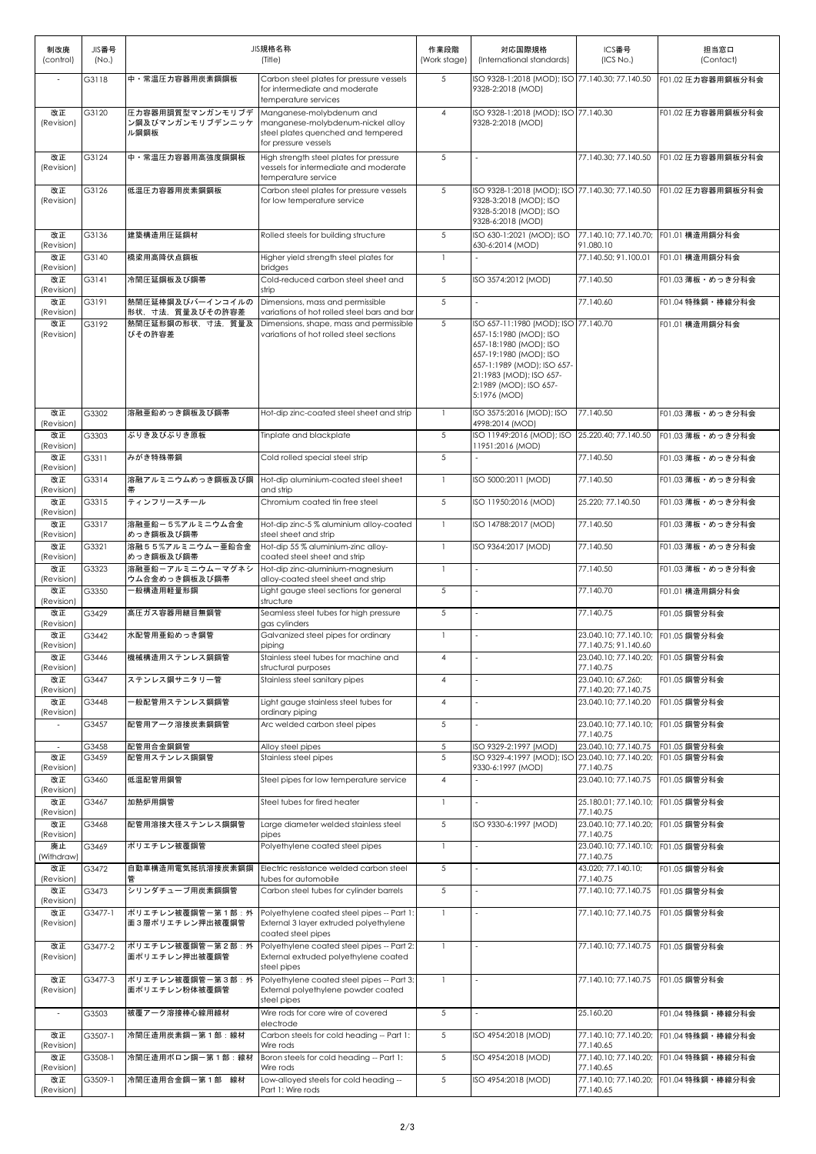| 制改廃<br>(control)         | JIS番号<br>(No.) | JIS規格名称<br>(Title)                           |                                                                                                                             | 作業段階<br>(Work stage) | 対応国際規格<br>(International standards)                                                                                                                                                                                   | ICS番号<br>(ICS No.)                                         | 担当窓口<br>(Contact)                      |
|--------------------------|----------------|----------------------------------------------|-----------------------------------------------------------------------------------------------------------------------------|----------------------|-----------------------------------------------------------------------------------------------------------------------------------------------------------------------------------------------------------------------|------------------------------------------------------------|----------------------------------------|
|                          | G3118          | 中・常温圧力容器用炭素鋼鋼板                               | Carbon steel plates for pressure vessels<br>for intermediate and moderate<br>temperature services                           | 5                    | ISO 9328-1:2018 (MOD); ISO 77.140.30; 77.140.50<br>9328-2:2018 (MOD)                                                                                                                                                  |                                                            | F01.02 圧力容器用鋼板分科会                      |
| 改正<br>(Revision)         | G3120          | 圧力容器用調質型マンガンモリブデ<br>ン鋼及びマンガンモリブデンニッケ<br>ル鋼鋼板 | Manganese-molybdenum and<br>manganese-molybdenum-nickel alloy<br>steel plates quenched and tempered<br>for pressure vessels | $\overline{4}$       | ISO 9328-1:2018 (MOD); ISO 77.140.30<br>9328-2:2018 (MOD)                                                                                                                                                             |                                                            | F01.02 圧力容器用鋼板分科会                      |
| 改正<br>(Revision)         | G3124          | 中・常温圧力容器用高強度鋼鋼板                              | High strength steel plates for pressure<br>vessels for intermediate and moderate<br>temperature service                     | 5                    |                                                                                                                                                                                                                       | 77.140.30; 77.140.50                                       | F01.02 圧力容器用鋼板分科会                      |
| 改正<br>(Revision)         | G3126          | 低温圧力容器用炭素鋼鋼板                                 | Carbon steel plates for pressure vessels<br>for low temperature service                                                     | 5                    | ISO 9328-1:2018 (MOD); ISO 77.140.30; 77.140.50<br>9328-3:2018 (MOD): ISO<br>9328-5:2018 (MOD); ISO<br>9328-6:2018 (MOD)                                                                                              |                                                            | F01.02 圧力容器用鋼板分科会                      |
| 改正<br>(Revision)         | G3136          | 建築構造用圧延鋼材                                    | Rolled steels for building structure                                                                                        | 5                    | ISO 630-1:2021 (MOD); ISO<br>630-6:2014 (MOD)                                                                                                                                                                         | 91.080.10                                                  | 77.140.10; 77.140.70; F01.01 構造用鋼分科会   |
| 改正<br>(Revision)         | G3140          | 橋梁用高降伏点鋼板                                    | Higher yield strength steel plates for<br>bridges                                                                           | 1                    |                                                                                                                                                                                                                       | 77.140.50; 91.100.01                                       | F01.01 構造用鋼分科会                         |
| 改正<br>(Revision)         | G3141          | 冷間圧延鋼板及び鋼帯                                   | Cold-reduced carbon steel sheet and<br>strip                                                                                | 5                    | ISO 3574:2012 (MOD)                                                                                                                                                                                                   | 77.140.50                                                  | F01.03 薄板・めっき分科会                       |
| 改正<br>(Revision)         | G3191          | 熱間圧延棒鋼及びバーインコイルの<br>形状、寸法、質量及びその許容差          | Dimensions, mass and permissible<br>variations of hot rolled steel bars and bar                                             | 5                    |                                                                                                                                                                                                                       | 77.140.60                                                  | F01.04 特殊鋼 · 棒線分科会                     |
| 改正<br>(Revision)         | G3192          | 熱間圧延形鋼の形状、寸法、質量及<br>びその許容差                   | Dimensions, shape, mass and permissible<br>variations of hot rolled steel sections                                          | 5                    | ISO 657-11:1980 (MOD); ISO 77.140.70<br>657-15:1980 (MOD): ISO<br>657-18:1980 (MOD): ISO<br>657-19:1980 (MODI: ISO<br>657-1:1989 (MOD); ISO 657-<br>21:1983 (MOD); ISO 657-<br>2:1989 (MOD); ISO 657-<br>5:1976 (MOD) |                                                            | F01.01 構造用鋼分科会                         |
| 改正<br>(Revision)         | G3302          | 溶融亜鉛めっき鋼板及び鋼帯                                | Hot-dip zinc-coated steel sheet and strip                                                                                   | $\mathbf{1}$         | ISO 3575:2016 (MOD); ISO<br>4998:2014 (MOD)                                                                                                                                                                           | 77.140.50                                                  | F01.03 薄板・めっき分科会                       |
| 改正<br>(Revision)         | G3303          | ぶりき及びぶりき原板                                   | Tinplate and blackplate                                                                                                     | 5                    | ISO 11949:2016 (MOD); ISO<br>11951:2016 (MOD)                                                                                                                                                                         | 25.220.40: 77.140.50                                       | F01.03 薄板・めっき分科会                       |
| 改正<br>(Revision)         | G3311          | みがき特殊帯鋼                                      | Cold rolled special steel strip                                                                                             | 5                    |                                                                                                                                                                                                                       | 77.140.50                                                  | F01.03 薄板・めっき分科会                       |
| 改正<br>(Revision)         | G3314          | 溶融アルミニウムめっき鋼板及び鋼                             | Hot-dip aluminium-coated steel sheet<br>and strip                                                                           | 1                    | ISO 5000:2011 (MOD)                                                                                                                                                                                                   | 77.140.50                                                  | F01.03 薄板・めっき分科会                       |
| 改正<br>(Revision)         | G3315          | ティンフリースチール                                   | Chromium coated tin free steel                                                                                              | 5                    | ISO 11950:2016 (MOD)                                                                                                                                                                                                  | 25.220; 77.140.50                                          | F01.03 薄板・めっき分科会                       |
| 改正<br>(Revision)         | G3317          | 溶融亜鉛ー5%アルミニウム合金<br>めっき鋼板及び鋼帯                 | Hot-dip zinc-5 % aluminium alloy-coated<br>steel sheet and strip                                                            | $\mathbf{1}$         | ISO 14788:2017 (MOD)                                                                                                                                                                                                  | 77.140.50                                                  | F01.03 薄板・めっき分科会                       |
| 改正<br>(Revision)         | G3321          | 溶融55%アルミニウムー亜鉛合金<br>めっき鋼板及び鋼帯                | Hot-dip 55 % aluminium-zinc alloy-<br>coated steel sheet and strip                                                          | 1                    | ISO 9364:2017 (MOD)                                                                                                                                                                                                   | 77.140.50                                                  | F01.03 薄板・めっき分科会                       |
| 改正<br>(Revision)         | G3323          | 溶融亜鉛ーアルミニウムーマグネシ<br>ウム合金めっき鋼板及び鋼帯            | Hot-dip zinc-aluminium-magnesium<br>alloy-coated steel sheet and strip                                                      | 1                    |                                                                                                                                                                                                                       | 77.140.50                                                  | F01.03 薄板・めっき分科会                       |
| 改正<br>(Revision)         | G3350          | -般構造用軽量形鋼                                    | Light gauge steel sections for general<br>structure                                                                         | 5                    |                                                                                                                                                                                                                       | 77.140.70                                                  | F01.01 構造用鋼分科会                         |
| 改正<br>(Revision)         | G3429          | 高圧ガス容器用継目無鋼管                                 | Seamless steel tubes for high pressure<br>gas cylinders                                                                     | 5                    |                                                                                                                                                                                                                       | 77.140.75                                                  | F01.05 鋼管分科会                           |
| 改正<br>(Revision)         | G3442          | 水配管用亜鉛めっき鋼管                                  | Galvanized steel pipes for ordinary<br>piping                                                                               | 1                    |                                                                                                                                                                                                                       | 23.040.10; 77.140.10; F01.05 鋼管分科会<br>77.140.75; 91.140.60 |                                        |
| 改正<br>(Revision)         | G3446          | 機械構造用ステンレス鋼鋼管                                | Stainless steel tubes for machine and<br>structural purposes                                                                | 4                    |                                                                                                                                                                                                                       | 23.040.10; 77.140.20; F01.05 鋼管分科会<br>77.140.75            |                                        |
| 改正<br>(Revision)         | G3447          | ステンレス鋼サニタリー管                                 | Stainless steel sanitary pipes                                                                                              | 4                    |                                                                                                                                                                                                                       | 23.040.10: 67.260:<br>77.140.20; 77.140.75                 | F01.05 鋼管分科会                           |
| 改正<br>(Revision)         | G3448          | -般配管用ステンレス鋼鋼管                                | Light gauge stainless steel tubes for<br>ordinary piping                                                                    | 4                    |                                                                                                                                                                                                                       | 23.040.10; 77.140.20                                       | F01.05 鋼管分科会                           |
|                          | G3457          | 配管用アーク溶接炭素鋼鋼管                                | Arc welded carbon steel pipes                                                                                               | 5                    |                                                                                                                                                                                                                       | 23.040.10; 77.140.10;                                      | F01.05 鋼管分科会                           |
| $\overline{\phantom{a}}$ | G3458          | 配管用合金鋼鋼管                                     | Alloy steel pipes                                                                                                           | 5                    | ISO 9329-2:1997 (MOD)                                                                                                                                                                                                 | 77.140.75<br>23.040.10; 77.140.75                          | F01.05 鋼管分科会                           |
| 改正<br>(Revision)         | G3459          | 配管用ステンレス鋼鋼管                                  | Stainless steel pipes                                                                                                       | 5                    | ISO 9329-4:1997 (MOD); ISO 23.040.10; 77.140.20;<br>9330-6:1997 (MOD)                                                                                                                                                 | 77.140.75                                                  | F01.05 鋼管分科会                           |
| 改正<br>(Revision)         | G3460          | 低温配管用鋼管                                      | Steel pipes for low temperature service                                                                                     | 4                    |                                                                                                                                                                                                                       | 23.040.10; 77.140.75                                       | F01.05 鋼管分科会                           |
| 改正<br>(Revision)         | G3467          | 加熱炉用鋼管                                       | Steel tubes for fired heater                                                                                                | 1                    |                                                                                                                                                                                                                       | 25.180.01; 77.140.10; F01.05 鋼管分科会<br>77.140.75            |                                        |
| 改正<br>(Revision)         | G3468          | 配管用溶接大径ステンレス鋼鋼管                              | Large diameter welded stainless steel<br>pipes                                                                              | 5                    | ISO 9330-6:1997 (MOD)                                                                                                                                                                                                 | 23.040.10; 77.140.20; F01.05 鋼管分科会<br>77.140.75            |                                        |
| 廃止<br>(Withdraw)         | G3469          | ポリエチレン被覆鋼管                                   | Polyethylene coated steel pipes                                                                                             | 1                    |                                                                                                                                                                                                                       | 23.040.10; 77.140.10;<br>77.140.75                         | F01.05 鋼管分科会                           |
| 改正<br>(Revision)         | G3472          | 自動車構造用電気抵抗溶接炭素鋼鋼<br>管                        | Electric resistance welded carbon steel<br>tubes for automobile                                                             | 5                    |                                                                                                                                                                                                                       | 43.020; 77.140.10;<br>77.140.75                            | F01.05 鋼管分科会                           |
| 改正<br>(Revision)         | G3473          | シリンダチューブ用炭素鋼鋼管                               | Carbon steel tubes for cylinder barrels                                                                                     | 5                    |                                                                                                                                                                                                                       | 77.140.10; 77.140.75                                       | F01.05 鋼管分科会                           |
| 改正<br>(Revision)         | G3477-1        | ポリエチレン被覆鋼管一第1部:外<br>面3層ポリエチレン押出被覆鋼管          | Polyethylene coated steel pipes -- Part 1<br>External 3 layer extruded polyethylene<br>coated steel pipes                   | 1                    |                                                                                                                                                                                                                       | 77.140.10; 77.140.75                                       | F01.05 鋼管分科会                           |
| 改正<br>(Revision)         | G3477-2        | ポリエチレン被覆鋼管一第2部:外<br>面ポリエチレン押出被覆鋼管            | Polyethylene coated steel pipes -- Part 2<br>External extruded polyethylene coated<br>steel pipes                           | $\mathbf{1}$         |                                                                                                                                                                                                                       | 77.140.10; 77.140.75                                       | F01.05 鋼管分科会                           |
| 改正<br>(Revision)         | G3477-3        | ポリエチレン被覆鋼管一第3部:外<br>面ポリエチレン粉体被覆鋼管            | Polyethylene coated steel pipes -- Part 3:<br>External polyethylene powder coated<br>steel pipes                            | $\mathbf{1}$         |                                                                                                                                                                                                                       | 77.140.10; 77.140.75                                       | F01.05 鋼管分科会                           |
| $\overline{\phantom{a}}$ | G3503          | 被覆アーク溶接棒心線用線材                                | Wire rods for core wire of covered<br>electrode                                                                             | 5                    |                                                                                                                                                                                                                       | 25.160.20                                                  | F01.04 特殊鋼・棒線分科会                       |
| 改正<br>(Revision)         | G3507-1        | 冷間圧造用炭素鋼一第1部:線材                              | Carbon steels for cold heading -- Part 1:<br>Wire rods                                                                      | 5                    | ISO 4954:2018 (MOD)                                                                                                                                                                                                   | 77.140.10; 77.140.20;<br>77.140.65                         | F01.04 特殊鋼 · 棒線分科会                     |
| 改正<br>(Revision)         | G3508-1        | 冷間圧造用ボロン鋼ー第1部:線材                             | Boron steels for cold heading -- Part 1:<br>Wire rods                                                                       | 5                    | ISO 4954:2018 (MOD)                                                                                                                                                                                                   | 77.140.10; 77.140.20;<br>77.140.65                         | F01.04 特殊鋼 · 棒線分科会                     |
| 改正<br>(Revision)         | G3509-1        | 冷間圧造用合金鋼一第1部 線材                              | Low-alloyed steels for cold heading --<br>Part 1: Wire rods                                                                 | 5                    | ISO 4954:2018 (MOD)                                                                                                                                                                                                   | 77.140.65                                                  | 77.140.10; 77.140.20; F01.04 特殊鋼・棒線分科会 |